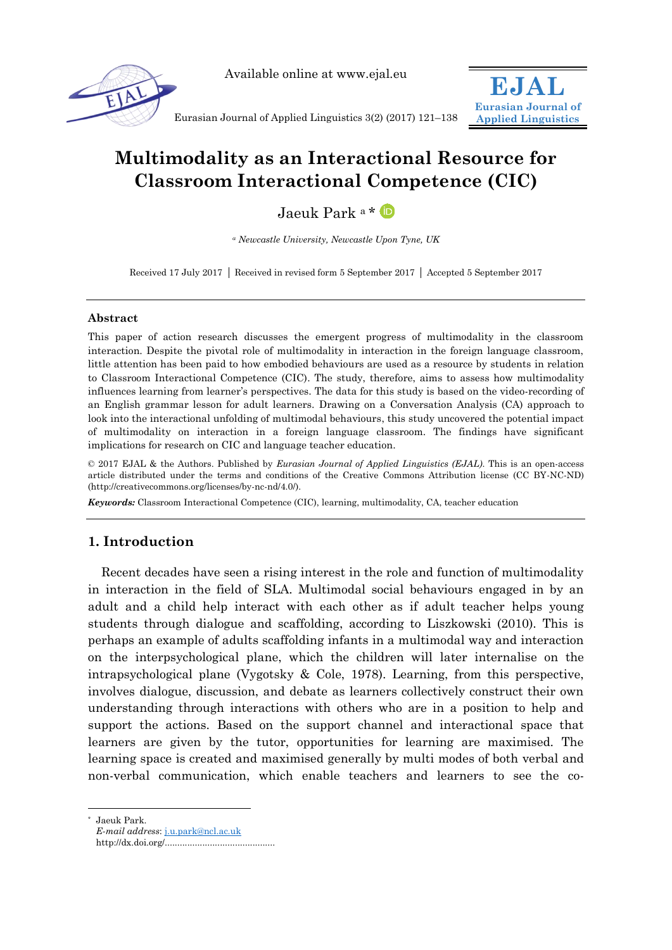

Available online at www.ejal.eu



Eurasian Journal of Applied Linguistics 3(2) (2017) 121–138

# **Multimodality as an Interactional Resource for Classroom Interactional Competence (CIC)**

# Jaeuk Park a\* D

*<sup>a</sup> Newcastle University, Newcastle Upon Tyne, UK*

Received 17 July 2017 Received in revised form 5 September 2017 Accepted 5 September 2017

### **Abstract**

This paper of action research discusses the emergent progress of multimodality in the classroom interaction. Despite the pivotal role of multimodality in interaction in the foreign language classroom, little attention has been paid to how embodied behaviours are used as a resource by students in relation to Classroom Interactional Competence (CIC). The study, therefore, aims to assess how multimodality influences learning from learner's perspectives. The data for this study is based on the video-recording of an English grammar lesson for adult learners. Drawing on a Conversation Analysis (CA) approach to look into the interactional unfolding of multimodal behaviours, this study uncovered the potential impact of multimodality on interaction in a foreign language classroom. The findings have significant implications for research on CIC and language teacher education.

© 2017 EJAL & the Authors. Published by *Eurasian Journal of Applied Linguistics (EJAL)*. This is an open-access article distributed under the terms and conditions of the Creative Commons Attribution license (CC BY-NC-ND) (http://creativecommons.org/licenses/by-nc-nd/4.0/).

*Keywords:* Classroom Interactional Competence (CIC), learning, multimodality, CA, teacher education

# **1. Introduction**

Recent decades have seen a rising interest in the role and function of multimodality in interaction in the field of SLA. Multimodal social behaviours engaged in by an adult and a child help interact with each other as if adult teacher helps young students through dialogue and scaffolding, according to Liszkowski (2010). This is perhaps an example of adults scaffolding infants in a multimodal way and interaction on the interpsychological plane, which the children will later internalise on the intrapsychological plane (Vygotsky & Cole, 1978). Learning, from this perspective, involves dialogue, discussion, and debate as learners collectively construct their own understanding through interactions with others who are in a position to help and support the actions. Based on the support channel and interactional space that learners are given by the tutor, opportunities for learning are maximised. The learning space is created and maximised generally by multi modes of both verbal and non-verbal communication, which enable teachers and learners to see the co-

-

<sup>\*</sup> Jaeuk Park.

*E-mail address*: [j.u.park@ncl.ac.uk](mailto:j.u.park@ncl.ac.uk)

http://dx.doi.org/............................................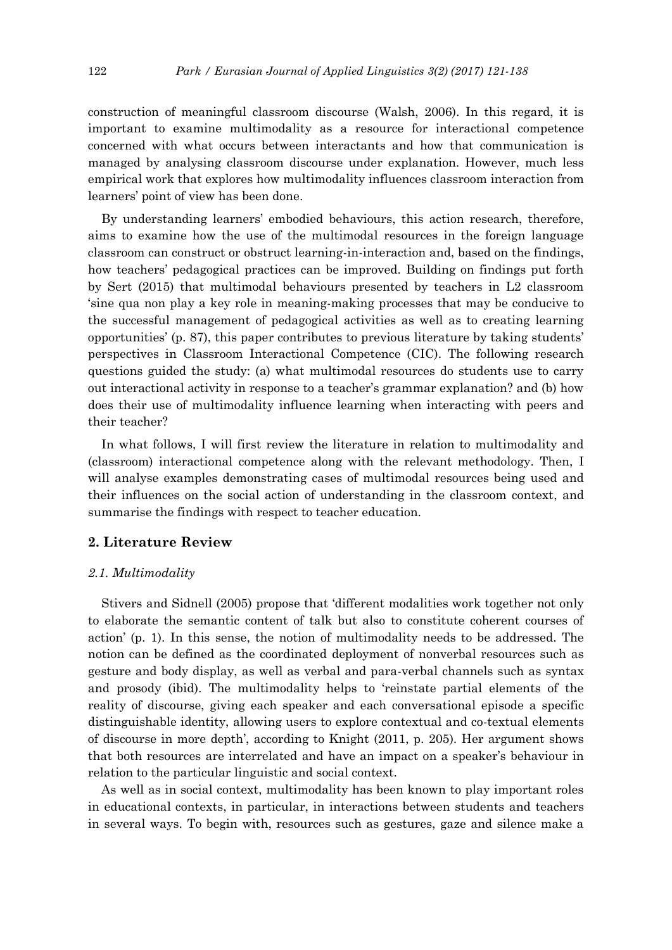construction of meaningful classroom discourse (Walsh, 2006). In this regard, it is important to examine multimodality as a resource for interactional competence concerned with what occurs between interactants and how that communication is managed by analysing classroom discourse under explanation. However, much less empirical work that explores how multimodality influences classroom interaction from learners' point of view has been done.

By understanding learners' embodied behaviours, this action research, therefore, aims to examine how the use of the multimodal resources in the foreign language classroom can construct or obstruct learning-in-interaction and, based on the findings, how teachers' pedagogical practices can be improved. Building on findings put forth by Sert (2015) that multimodal behaviours presented by teachers in L2 classroom 'sine qua non play a key role in meaning-making processes that may be conducive to the successful management of pedagogical activities as well as to creating learning opportunities' (p. 87), this paper contributes to previous literature by taking students' perspectives in Classroom Interactional Competence (CIC). The following research questions guided the study: (a) what multimodal resources do students use to carry out interactional activity in response to a teacher's grammar explanation? and (b) how does their use of multimodality influence learning when interacting with peers and their teacher?

In what follows, I will first review the literature in relation to multimodality and (classroom) interactional competence along with the relevant methodology. Then, I will analyse examples demonstrating cases of multimodal resources being used and their influences on the social action of understanding in the classroom context, and summarise the findings with respect to teacher education.

# **2. Literature Review**

#### *2.1. Multimodality*

Stivers and Sidnell (2005) propose that 'different modalities work together not only to elaborate the semantic content of talk but also to constitute coherent courses of action' (p. 1). In this sense, the notion of multimodality needs to be addressed. The notion can be defined as the coordinated deployment of nonverbal resources such as gesture and body display, as well as verbal and para-verbal channels such as syntax and prosody (ibid). The multimodality helps to 'reinstate partial elements of the reality of discourse, giving each speaker and each conversational episode a specific distinguishable identity, allowing users to explore contextual and co-textual elements of discourse in more depth', according to Knight (2011, p. 205). Her argument shows that both resources are interrelated and have an impact on a speaker's behaviour in relation to the particular linguistic and social context.

As well as in social context, multimodality has been known to play important roles in educational contexts, in particular, in interactions between students and teachers in several ways. To begin with, resources such as gestures, gaze and silence make a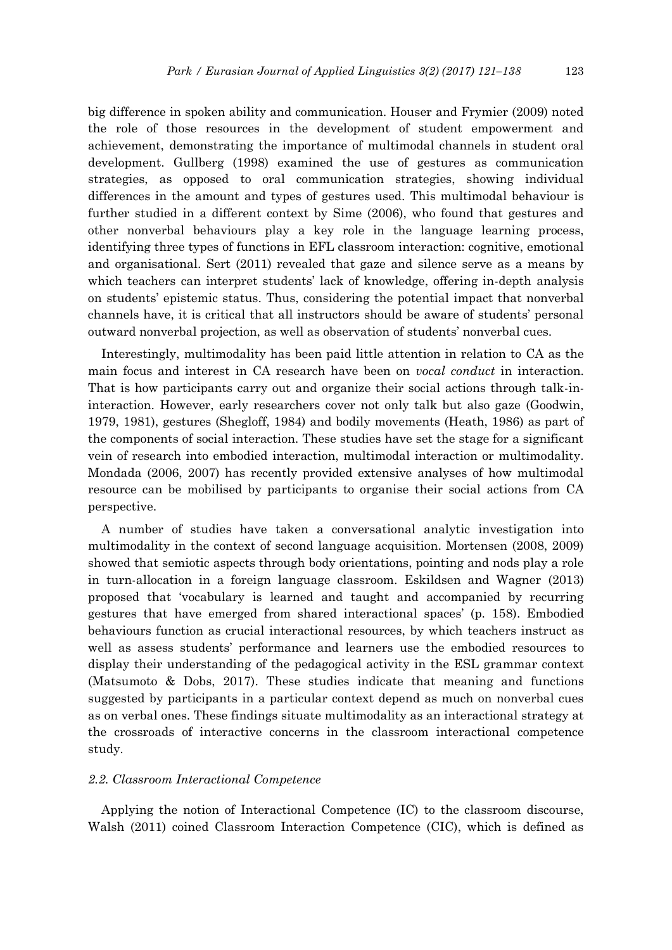big difference in spoken ability and communication. Houser and Frymier (2009) noted the role of those resources in the development of student empowerment and achievement, demonstrating the importance of multimodal channels in student oral development. Gullberg (1998) examined the use of gestures as communication strategies, as opposed to oral communication strategies, showing individual differences in the amount and types of gestures used. This multimodal behaviour is further studied in a different context by Sime (2006), who found that gestures and other nonverbal behaviours play a key role in the language learning process, identifying three types of functions in EFL classroom interaction: cognitive, emotional and organisational. Sert (2011) revealed that gaze and silence serve as a means by which teachers can interpret students' lack of knowledge, offering in-depth analysis on students' epistemic status. Thus, considering the potential impact that nonverbal channels have, it is critical that all instructors should be aware of students' personal outward nonverbal projection, as well as observation of students' nonverbal cues.

Interestingly, multimodality has been paid little attention in relation to CA as the main focus and interest in CA research have been on *vocal conduct* in interaction. That is how participants carry out and organize their social actions through talk-ininteraction. However, early researchers cover not only talk but also gaze (Goodwin, 1979, 1981), gestures (Shegloff, 1984) and bodily movements (Heath, 1986) as part of the components of social interaction. These studies have set the stage for a significant vein of research into embodied interaction, multimodal interaction or multimodality. Mondada (2006, 2007) has recently provided extensive analyses of how multimodal resource can be mobilised by participants to organise their social actions from CA perspective.

A number of studies have taken a conversational analytic investigation into multimodality in the context of second language acquisition. Mortensen (2008, 2009) showed that semiotic aspects through body orientations, pointing and nods play a role in turn-allocation in a foreign language classroom. Eskildsen and Wagner (2013) proposed that 'vocabulary is learned and taught and accompanied by recurring gestures that have emerged from shared interactional spaces' (p. 158). Embodied behaviours function as crucial interactional resources, by which teachers instruct as well as assess students' performance and learners use the embodied resources to display their understanding of the pedagogical activity in the ESL grammar context (Matsumoto & Dobs, 2017). These studies indicate that meaning and functions suggested by participants in a particular context depend as much on nonverbal cues as on verbal ones. These findings situate multimodality as an interactional strategy at the crossroads of interactive concerns in the classroom interactional competence study.

#### *2.2. Classroom Interactional Competence*

Applying the notion of Interactional Competence (IC) to the classroom discourse, Walsh (2011) coined Classroom Interaction Competence (CIC), which is defined as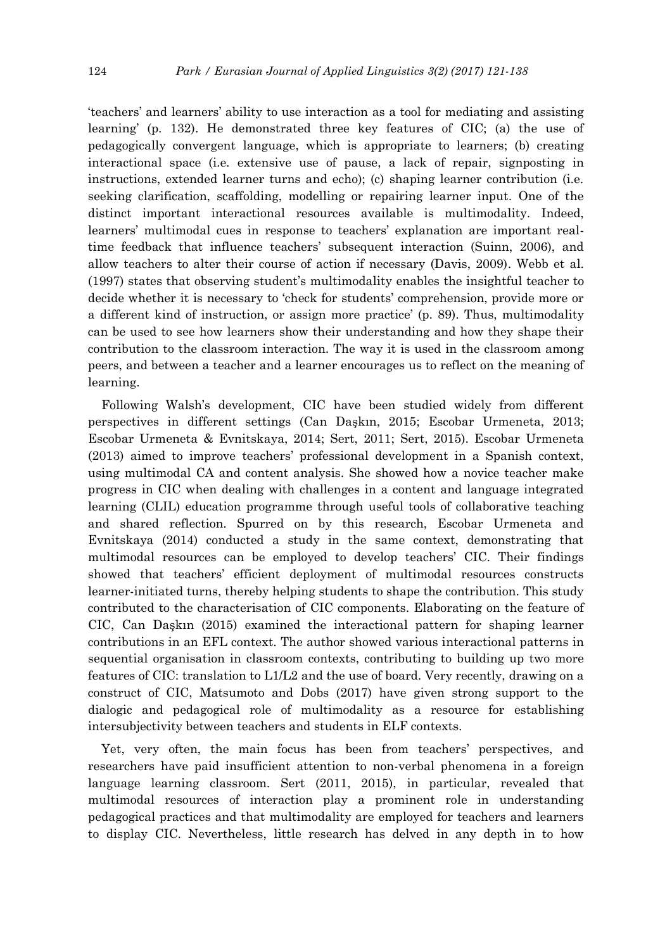'teachers' and learners' ability to use interaction as a tool for mediating and assisting learning' (p. 132). He demonstrated three key features of CIC; (a) the use of pedagogically convergent language, which is appropriate to learners; (b) creating interactional space (i.e. extensive use of pause, a lack of repair, signposting in instructions, extended learner turns and echo); (c) shaping learner contribution (i.e. seeking clarification, scaffolding, modelling or repairing learner input. One of the distinct important interactional resources available is multimodality. Indeed, learners' multimodal cues in response to teachers' explanation are important realtime feedback that influence teachers' subsequent interaction (Suinn, 2006), and allow teachers to alter their course of action if necessary (Davis, 2009). Webb et al. (1997) states that observing student's multimodality enables the insightful teacher to decide whether it is necessary to 'check for students' comprehension, provide more or a different kind of instruction, or assign more practice' (p. 89). Thus, multimodality can be used to see how learners show their understanding and how they shape their contribution to the classroom interaction. The way it is used in the classroom among peers, and between a teacher and a learner encourages us to reflect on the meaning of learning.

Following Walsh's development, CIC have been studied widely from different perspectives in different settings (Can Daşkın, 2015; Escobar Urmeneta, 2013; Escobar Urmeneta & Evnitskaya, 2014; Sert, 2011; Sert, 2015). Escobar Urmeneta (2013) aimed to improve teachers' professional development in a Spanish context, using multimodal CA and content analysis. She showed how a novice teacher make progress in CIC when dealing with challenges in a content and language integrated learning (CLIL) education programme through useful tools of collaborative teaching and shared reflection. Spurred on by this research, Escobar Urmeneta and Evnitskaya (2014) conducted a study in the same context, demonstrating that multimodal resources can be employed to develop teachers' CIC. Their findings showed that teachers' efficient deployment of multimodal resources constructs learner-initiated turns, thereby helping students to shape the contribution. This study contributed to the characterisation of CIC components. Elaborating on the feature of CIC, Can Daşkın (2015) examined the interactional pattern for shaping learner contributions in an EFL context. The author showed various interactional patterns in sequential organisation in classroom contexts, contributing to building up two more features of CIC: translation to L1/L2 and the use of board. Very recently, drawing on a construct of CIC, Matsumoto and Dobs (2017) have given strong support to the dialogic and pedagogical role of multimodality as a resource for establishing intersubjectivity between teachers and students in ELF contexts.

Yet, very often, the main focus has been from teachers' perspectives, and researchers have paid insufficient attention to non-verbal phenomena in a foreign language learning classroom. Sert (2011, 2015), in particular, revealed that multimodal resources of interaction play a prominent role in understanding pedagogical practices and that multimodality are employed for teachers and learners to display CIC. Nevertheless, little research has delved in any depth in to how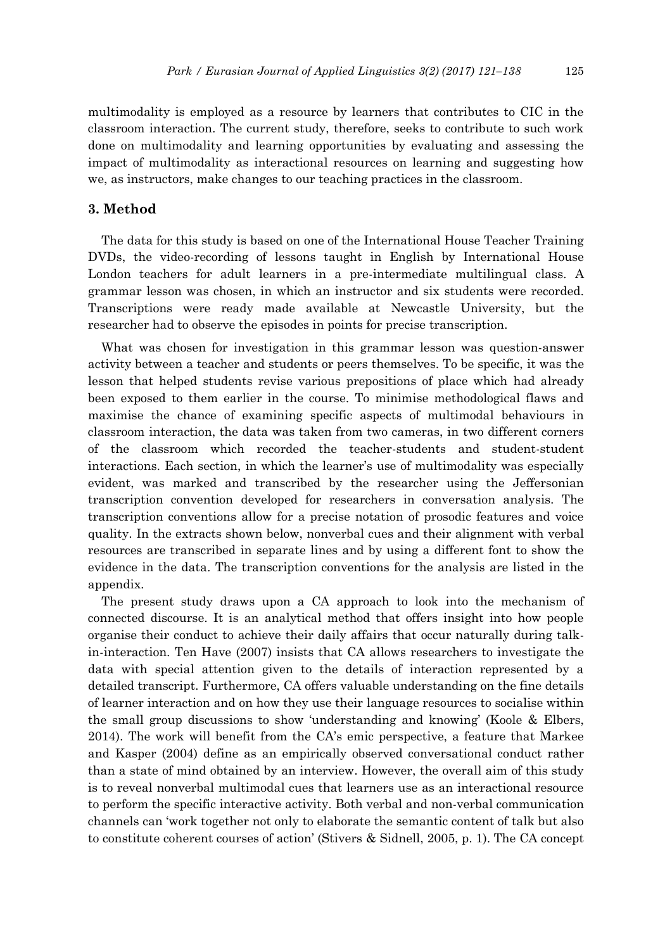multimodality is employed as a resource by learners that contributes to CIC in the classroom interaction. The current study, therefore, seeks to contribute to such work done on multimodality and learning opportunities by evaluating and assessing the impact of multimodality as interactional resources on learning and suggesting how we, as instructors, make changes to our teaching practices in the classroom.

# **3. Method**

The data for this study is based on one of the International House Teacher Training DVDs, the video-recording of lessons taught in English by International House London teachers for adult learners in a pre-intermediate multilingual class. A grammar lesson was chosen, in which an instructor and six students were recorded. Transcriptions were ready made available at Newcastle University, but the researcher had to observe the episodes in points for precise transcription.

What was chosen for investigation in this grammar lesson was question-answer activity between a teacher and students or peers themselves. To be specific, it was the lesson that helped students revise various prepositions of place which had already been exposed to them earlier in the course. To minimise methodological flaws and maximise the chance of examining specific aspects of multimodal behaviours in classroom interaction, the data was taken from two cameras, in two different corners of the classroom which recorded the teacher-students and student-student interactions. Each section, in which the learner's use of multimodality was especially evident, was marked and transcribed by the researcher using the Jeffersonian transcription convention developed for researchers in conversation analysis. The transcription conventions allow for a precise notation of prosodic features and voice quality. In the extracts shown below, nonverbal cues and their alignment with verbal resources are transcribed in separate lines and by using a different font to show the evidence in the data. The transcription conventions for the analysis are listed in the appendix.

The present study draws upon a CA approach to look into the mechanism of connected discourse. It is an analytical method that offers insight into how people organise their conduct to achieve their daily affairs that occur naturally during talkin-interaction. Ten Have (2007) insists that CA allows researchers to investigate the data with special attention given to the details of interaction represented by a detailed transcript. Furthermore, CA offers valuable understanding on the fine details of learner interaction and on how they use their language resources to socialise within the small group discussions to show 'understanding and knowing' (Koole & Elbers, 2014). The work will benefit from the CA's emic perspective, a feature that Markee and Kasper (2004) define as an empirically observed conversational conduct rather than a state of mind obtained by an interview. However, the overall aim of this study is to reveal nonverbal multimodal cues that learners use as an interactional resource to perform the specific interactive activity. Both verbal and non-verbal communication channels can 'work together not only to elaborate the semantic content of talk but also to constitute coherent courses of action' (Stivers & Sidnell, 2005, p. 1). The CA concept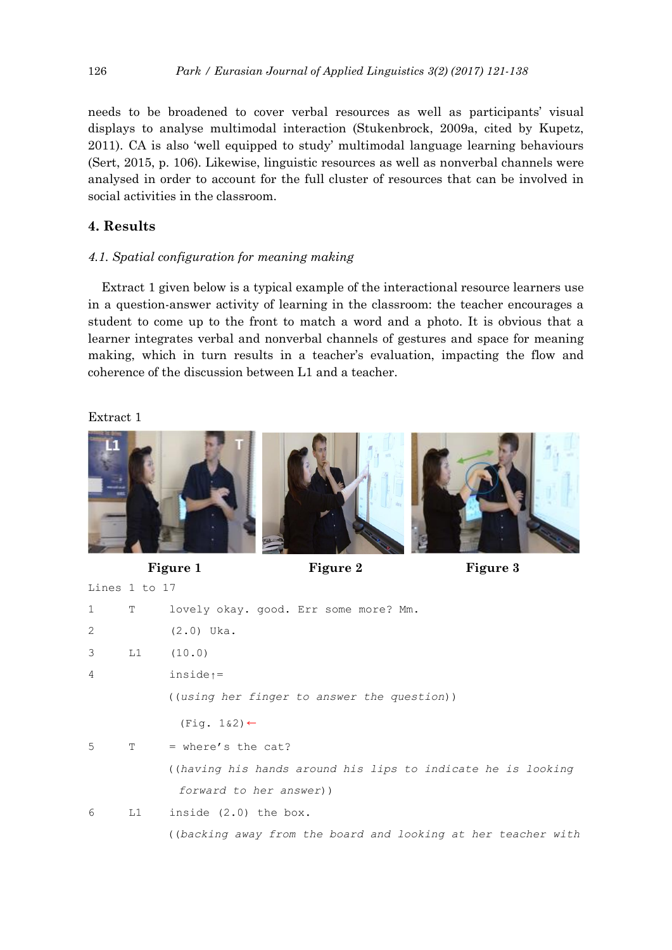needs to be broadened to cover verbal resources as well as participants' visual displays to analyse multimodal interaction (Stukenbrock, 2009a, cited by Kupetz, 2011). CA is also 'well equipped to study' multimodal language learning behaviours (Sert, 2015, p. 106). Likewise, linguistic resources as well as nonverbal channels were analysed in order to account for the full cluster of resources that can be involved in social activities in the classroom.

# **4. Results**

# *4.1. Spatial configuration for meaning making*

Extract 1 given below is a typical example of the interactional resource learners use in a question-answer activity of learning in the classroom: the teacher encourages a student to come up to the front to match a word and a photo. It is obvious that a learner integrates verbal and nonverbal channels of gestures and space for meaning making, which in turn results in a teacher's evaluation, impacting the flow and coherence of the discussion between L1 and a teacher.

# Extract 1



Lines 1 to 17

Figure 1 Figure 2 Figure 3

| $\mathbf{1}$   | T                                                                                                                                                                                                                              | lovely okay. good. Err some more? Mm.                        |
|----------------|--------------------------------------------------------------------------------------------------------------------------------------------------------------------------------------------------------------------------------|--------------------------------------------------------------|
| 2              |                                                                                                                                                                                                                                | $(2.0)$ Uka.                                                 |
| 3              | L1 and the set of the set of the set of the set of the set of the set of the set of the set of the set of the set of the set of the set of the set of the set of the set of the set of the set of the set of the set of the se | (10.0)                                                       |
| $\overline{4}$ |                                                                                                                                                                                                                                | $inside \uparrow =$                                          |
|                |                                                                                                                                                                                                                                | ((using her finger to answer the question))                  |
|                |                                                                                                                                                                                                                                | $(Fiq. 1&2) \leftarrow$                                      |
| 5              | T                                                                                                                                                                                                                              | $=$ where's the cat?                                         |
|                |                                                                                                                                                                                                                                | ((having his hands around his lips to indicate he is looking |
|                |                                                                                                                                                                                                                                | forward to her answer))                                      |
| 6              |                                                                                                                                                                                                                                | $L1$ inside $(2.0)$ the box.                                 |

((*backing away from the board and looking at her teacher with*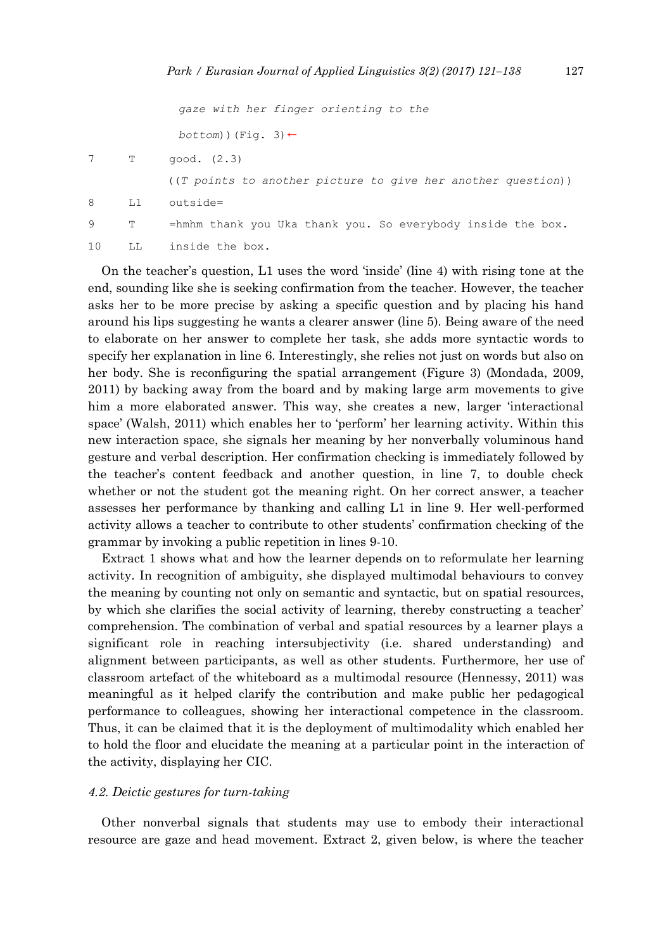|    |              | gaze with her finger orienting to the                          |
|----|--------------|----------------------------------------------------------------|
|    |              | $bottom)$ (Fig. 3) $\leftarrow$                                |
|    | $\mathbb{T}$ | qood. (2.3)                                                    |
|    |              | $((T points to another picture to give her another question))$ |
| 8  | L1           | $outside=$                                                     |
| 9  | Т            | $=$ hmhm thank you Uka thank you. So everybody inside the box. |
| 10 | LL           | inside the box.                                                |

On the teacher's question, L1 uses the word 'inside' (line 4) with rising tone at the end, sounding like she is seeking confirmation from the teacher. However, the teacher asks her to be more precise by asking a specific question and by placing his hand around his lips suggesting he wants a clearer answer (line 5). Being aware of the need to elaborate on her answer to complete her task, she adds more syntactic words to specify her explanation in line 6. Interestingly, she relies not just on words but also on her body. She is reconfiguring the spatial arrangement (Figure 3) (Mondada, 2009, 2011) by backing away from the board and by making large arm movements to give him a more elaborated answer. This way, she creates a new, larger 'interactional space' (Walsh, 2011) which enables her to 'perform' her learning activity. Within this new interaction space, she signals her meaning by her nonverbally voluminous hand gesture and verbal description. Her confirmation checking is immediately followed by the teacher's content feedback and another question, in line 7, to double check whether or not the student got the meaning right. On her correct answer, a teacher assesses her performance by thanking and calling L1 in line 9. Her well-performed activity allows a teacher to contribute to other students' confirmation checking of the grammar by invoking a public repetition in lines 9-10.

Extract 1 shows what and how the learner depends on to reformulate her learning activity. In recognition of ambiguity, she displayed multimodal behaviours to convey the meaning by counting not only on semantic and syntactic, but on spatial resources, by which she clarifies the social activity of learning, thereby constructing a teacher' comprehension. The combination of verbal and spatial resources by a learner plays a significant role in reaching intersubjectivity (i.e. shared understanding) and alignment between participants, as well as other students. Furthermore, her use of classroom artefact of the whiteboard as a multimodal resource (Hennessy, 2011) was meaningful as it helped clarify the contribution and make public her pedagogical performance to colleagues, showing her interactional competence in the classroom. Thus, it can be claimed that it is the deployment of multimodality which enabled her to hold the floor and elucidate the meaning at a particular point in the interaction of the activity, displaying her CIC.

#### *4.2. Deictic gestures for turn-taking*

Other nonverbal signals that students may use to embody their interactional resource are gaze and head movement. Extract 2, given below, is where the teacher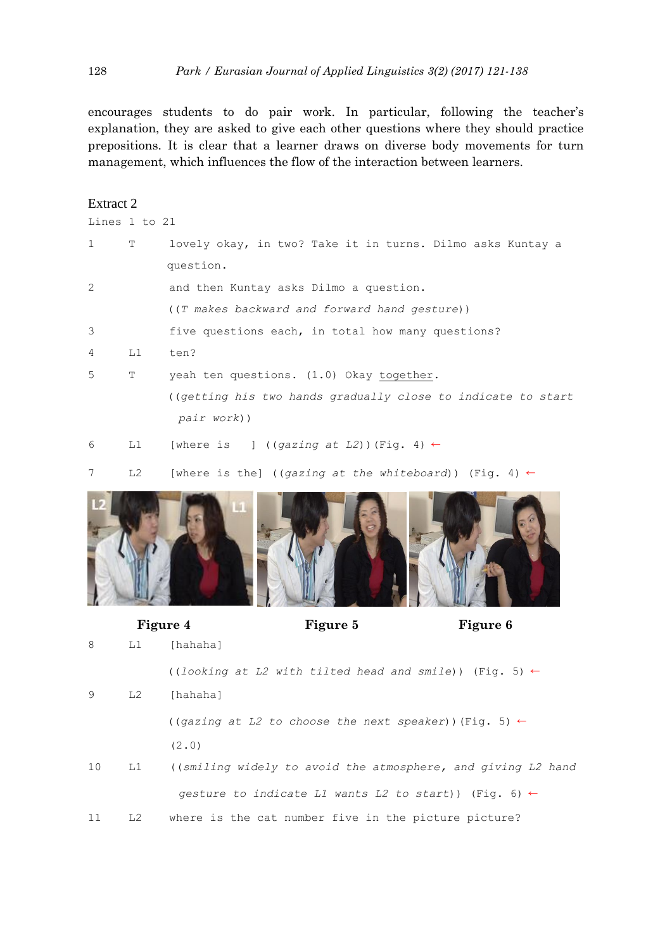encourages students to do pair work. In particular, following the teacher's explanation, they are asked to give each other questions where they should practice prepositions. It is clear that a learner draws on diverse body movements for turn management, which influences the flow of the interaction between learners.

| Extract 2     |    |                                                               |
|---------------|----|---------------------------------------------------------------|
| Lines 1 to 21 |    |                                                               |
| 1             | Т  | lovely okay, in two? Take it in turns. Dilmo asks Kuntay a    |
|               |    | question.                                                     |
| 2             |    | and then Kuntay asks Dilmo a question.                        |
|               |    | ((T makes backward and forward hand gesture))                 |
| 3             |    | five questions each, in total how many questions?             |
| 4             | L1 | ten?                                                          |
| 5             | т  | yeah ten questions. (1.0) Okay together.                      |
|               |    | ((getting his two hands gradually close to indicate to start) |
|               |    | pair work))                                                   |
| 6             | L1 | [where is $(qazinq at L2)$ ) (Fig. 4) $\leftarrow$            |

7 L2 [where is the] ((*gazing at the whiteboard*)) (Fig. 4) ←



#### **Figure 4 Figure 5 Figure 6**

| 8  | L1 | [hahaha]                                                            |
|----|----|---------------------------------------------------------------------|
|    |    | ((looking at L2 with tilted head and smile)) (Fig. 5) $\leftarrow$  |
| 9  | L2 | [hahaha]                                                            |
|    |    | $((qazing at L2 to choose the next speaker))$ (Fig. 5) $\leftarrow$ |
|    |    | (2.0)                                                               |
| 10 | L1 | ((smiling widely to avoid the atmosphere, and giving L2 hand        |
|    |    | qesture to indicate L1 wants L2 to start)) (Fig. 6) $\leftarrow$    |
| 11 | L2 | where is the cat number five in the picture picture?                |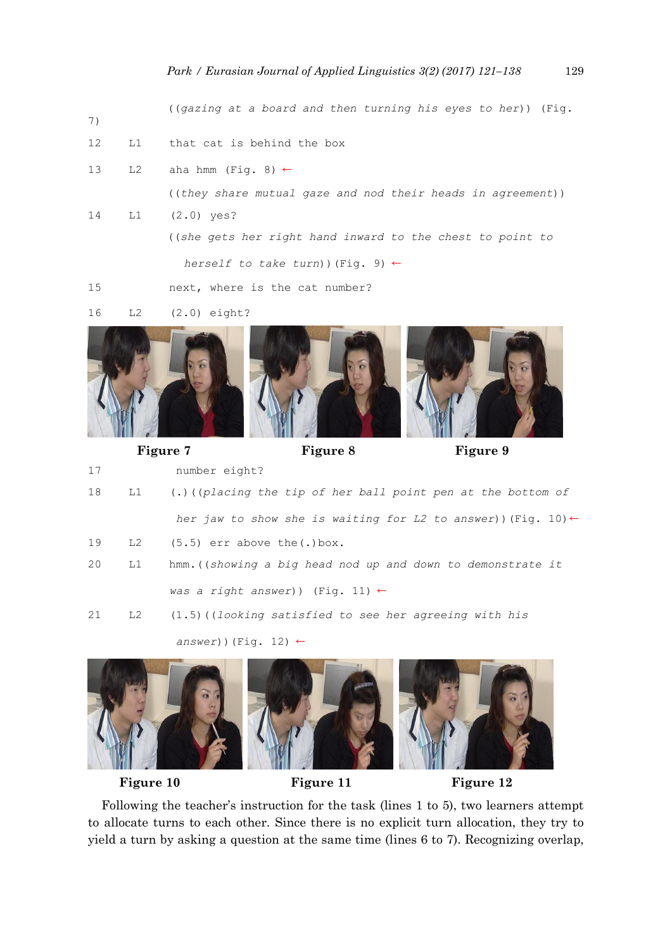((*gazing at a board and then turning his eyes to her*)) (Fig.

- 12 L1 that cat is behind the box
- 13 L2 aha hmm (Fig. 8)  $\leftarrow$

7)

((*they share mutual gaze and nod their heads in agreement*))

14 L1 (2.0) yes? ((*she gets her right hand inward to the chest to point to* 

*herself to take turn*))(Fig. 9) ←

15 next, where is the cat number?

<sup>16</sup> L2 (2.0) eight?



Figure 7 Figure 8 Figure 9

```
17 number eight?
18 L1 (.)((placing the tip of her ball point pen at the bottom of 
             her jaw to show she is waiting for L2 to answer))(Fig. 10)←
19 L2 (5.5) err above the(.)box.
20 L1 hmm.((showing a big head nod up and down to demonstrate it 
            was a right answer)) (Fig. 11) ←
21 L2 (1.5)((looking satisfied to see her agreeing with his 
            answer))(Fig. 12) ←
```


Figure 10 Figure 11 Figure 12

Following the teacher's instruction for the task (lines 1 to 5), two learners attempt to allocate turns to each other. Since there is no explicit turn allocation, they try to yield a turn by asking a question at the same time (lines 6 to 7). Recognizing overlap,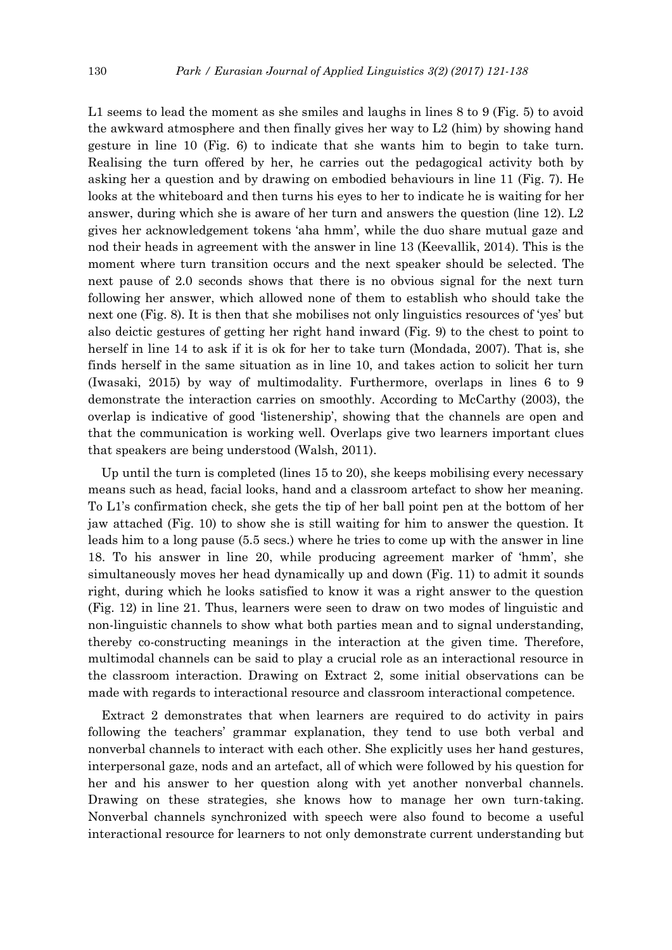L1 seems to lead the moment as she smiles and laughs in lines 8 to 9 (Fig. 5) to avoid the awkward atmosphere and then finally gives her way to L2 (him) by showing hand gesture in line 10 (Fig. 6) to indicate that she wants him to begin to take turn. Realising the turn offered by her, he carries out the pedagogical activity both by asking her a question and by drawing on embodied behaviours in line 11 (Fig. 7). He looks at the whiteboard and then turns his eyes to her to indicate he is waiting for her answer, during which she is aware of her turn and answers the question (line 12). L2 gives her acknowledgement tokens 'aha hmm', while the duo share mutual gaze and nod their heads in agreement with the answer in line 13 (Keevallik, 2014). This is the moment where turn transition occurs and the next speaker should be selected. The next pause of 2.0 seconds shows that there is no obvious signal for the next turn following her answer, which allowed none of them to establish who should take the next one (Fig. 8). It is then that she mobilises not only linguistics resources of 'yes' but also deictic gestures of getting her right hand inward (Fig. 9) to the chest to point to herself in line 14 to ask if it is ok for her to take turn (Mondada, 2007). That is, she finds herself in the same situation as in line 10, and takes action to solicit her turn (Iwasaki, 2015) by way of multimodality. Furthermore, overlaps in lines 6 to 9 demonstrate the interaction carries on smoothly. According to McCarthy (2003), the overlap is indicative of good 'listenership', showing that the channels are open and that the communication is working well. Overlaps give two learners important clues that speakers are being understood (Walsh, 2011).

Up until the turn is completed (lines 15 to 20), she keeps mobilising every necessary means such as head, facial looks, hand and a classroom artefact to show her meaning. To L1's confirmation check, she gets the tip of her ball point pen at the bottom of her jaw attached (Fig. 10) to show she is still waiting for him to answer the question. It leads him to a long pause (5.5 secs.) where he tries to come up with the answer in line 18. To his answer in line 20, while producing agreement marker of 'hmm', she simultaneously moves her head dynamically up and down (Fig. 11) to admit it sounds right, during which he looks satisfied to know it was a right answer to the question (Fig. 12) in line 21. Thus, learners were seen to draw on two modes of linguistic and non-linguistic channels to show what both parties mean and to signal understanding, thereby co-constructing meanings in the interaction at the given time. Therefore, multimodal channels can be said to play a crucial role as an interactional resource in the classroom interaction. Drawing on Extract 2, some initial observations can be made with regards to interactional resource and classroom interactional competence.

Extract 2 demonstrates that when learners are required to do activity in pairs following the teachers' grammar explanation, they tend to use both verbal and nonverbal channels to interact with each other. She explicitly uses her hand gestures, interpersonal gaze, nods and an artefact, all of which were followed by his question for her and his answer to her question along with yet another nonverbal channels. Drawing on these strategies, she knows how to manage her own turn-taking. Nonverbal channels synchronized with speech were also found to become a useful interactional resource for learners to not only demonstrate current understanding but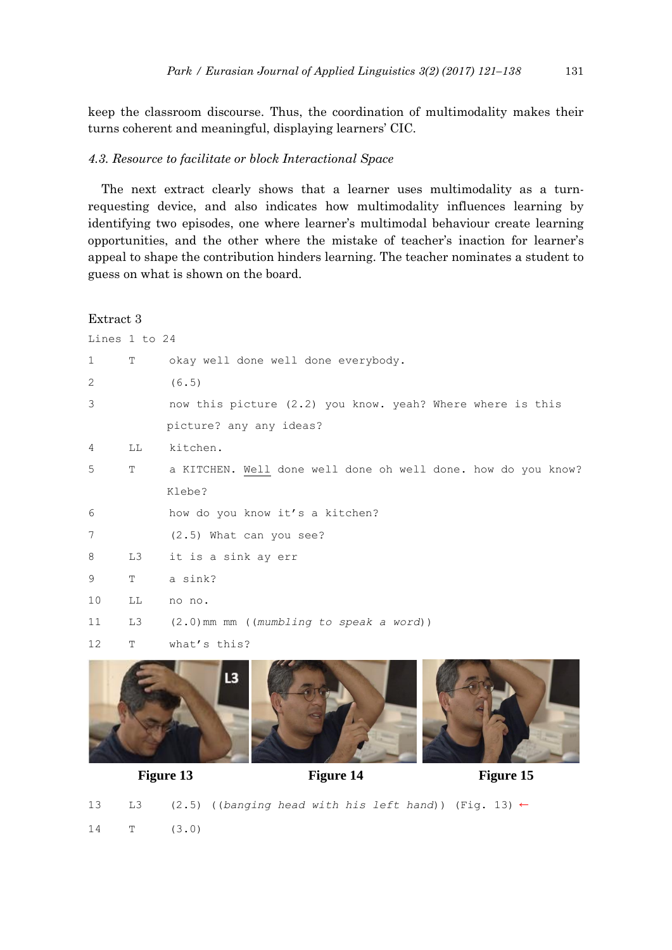keep the classroom discourse. Thus, the coordination of multimodality makes their turns coherent and meaningful, displaying learners' CIC.

### *4.3. Resource to facilitate or block Interactional Space*

The next extract clearly shows that a learner uses multimodality as a turnrequesting device, and also indicates how multimodality influences learning by identifying two episodes, one where learner's multimodal behaviour create learning opportunities, and the other where the mistake of teacher's inaction for learner's appeal to shape the contribution hinders learning. The teacher nominates a student to guess on what is shown on the board.

# Extract 3

| Lines 1 to 24 |    |                                                               |
|---------------|----|---------------------------------------------------------------|
| 1             | Т  | okay well done well done everybody.                           |
| 2             |    | (6.5)                                                         |
| 3             |    | now this picture (2.2) you know. yeah? Where where is this    |
|               |    | picture? any any ideas?                                       |
| 4             | LL | kitchen.                                                      |
| 5             | T  | a KITCHEN. Well done well done oh well done. how do you know? |
|               |    | Klebe?                                                        |
| 6             |    | how do you know it's a kitchen?                               |
| 7             |    | (2.5) What can you see?                                       |
| 8             | LЗ | it is a sink ay err                                           |
| 9             | T  | a sink?                                                       |
| 10            | LL | no no.                                                        |
| 11            | L3 | $(2.0)$ mm mm ((mumbling to speak a word))                    |
| 12            | T  | what's this?                                                  |
|               |    |                                                               |



Figure 13 Figure 14 Figure 15

13 L3 (2.5) ((*banging head with his left hand*)) (Fig. 13) ← 14 T (3.0)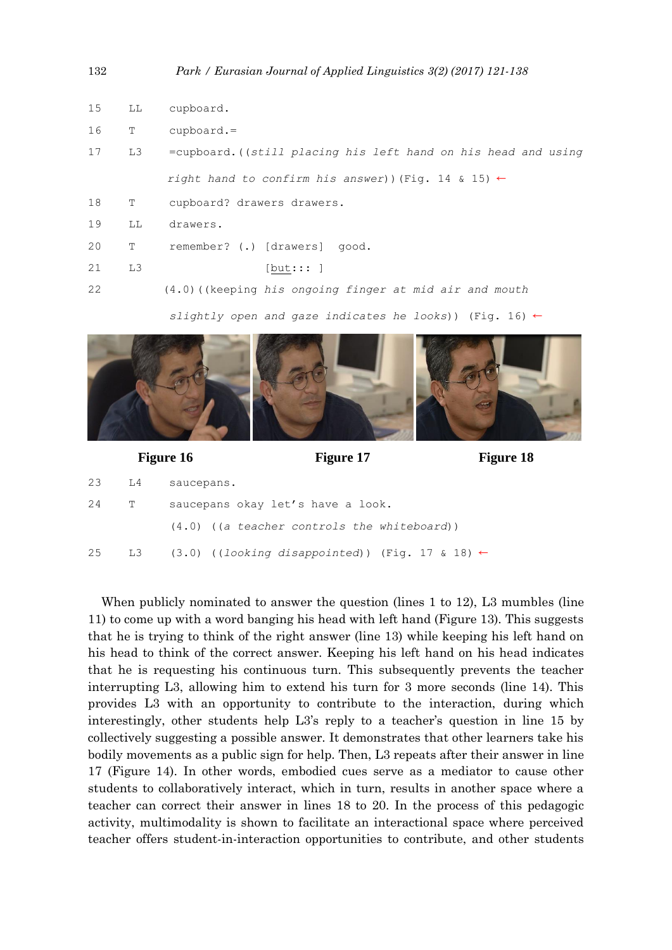| 132 |                | Park / Eurasian Journal of Applied Linguistics 3(2) (2017) 121-138 |
|-----|----------------|--------------------------------------------------------------------|
| 15  | LL             | cupboard.                                                          |
| 16  | Т              | $cupboard. =$                                                      |
| 17  | L3             | =cupboard. ((still placing his left hand on his head and using     |
|     |                | right hand to confirm his answer)) (Fig. 14 & 15) $\leftarrow$     |
| 18  | Т              | cupboard? drawers drawers.                                         |
| 19  | LL             | drawers.                                                           |
| 20  | Т              | remember? (.) [drawers] good.                                      |
| 21  | L <sub>3</sub> | [but::: ]                                                          |
| 22  |                | $(4.0)$ ((keeping his ongoing finger at mid air and mouth          |
|     |                |                                                                    |

 *slightly open and gaze indicates he looks*)) (Fig. 16) ←



# Figure 16 **Figure 17** Figure 18

| 23 | L4           | saucepans.                                                    |
|----|--------------|---------------------------------------------------------------|
| 24 | $\mathbb{T}$ | saucepans okay let's have a look.                             |
|    |              | $(4.0)$ ((a teacher controls the whiteboard))                 |
| 25 |              | L3 (3.0) ((looking disappointed)) (Fig. 17 & 18) $\leftarrow$ |

When publicly nominated to answer the question (lines 1 to 12), L3 mumbles (line 11) to come up with a word banging his head with left hand (Figure 13). This suggests that he is trying to think of the right answer (line 13) while keeping his left hand on his head to think of the correct answer. Keeping his left hand on his head indicates that he is requesting his continuous turn. This subsequently prevents the teacher interrupting L3, allowing him to extend his turn for 3 more seconds (line 14). This provides L3 with an opportunity to contribute to the interaction, during which interestingly, other students help L3's reply to a teacher's question in line 15 by collectively suggesting a possible answer. It demonstrates that other learners take his bodily movements as a public sign for help. Then, L3 repeats after their answer in line 17 (Figure 14). In other words, embodied cues serve as a mediator to cause other students to collaboratively interact, which in turn, results in another space where a teacher can correct their answer in lines 18 to 20. In the process of this pedagogic activity, multimodality is shown to facilitate an interactional space where perceived teacher offers student-in-interaction opportunities to contribute, and other students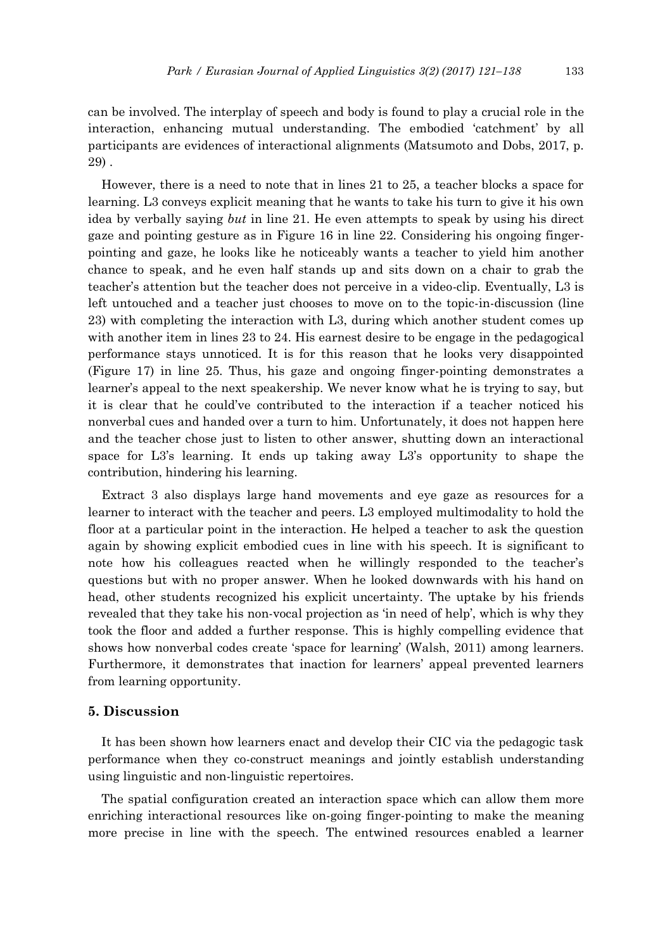can be involved. The interplay of speech and body is found to play a crucial role in the interaction, enhancing mutual understanding. The embodied 'catchment' by all participants are evidences of interactional alignments (Matsumoto and Dobs, 2017, p. 29) .

However, there is a need to note that in lines 21 to 25, a teacher blocks a space for learning. L3 conveys explicit meaning that he wants to take his turn to give it his own idea by verbally saying *but* in line 21. He even attempts to speak by using his direct gaze and pointing gesture as in Figure 16 in line 22. Considering his ongoing fingerpointing and gaze, he looks like he noticeably wants a teacher to yield him another chance to speak, and he even half stands up and sits down on a chair to grab the teacher's attention but the teacher does not perceive in a video-clip. Eventually, L3 is left untouched and a teacher just chooses to move on to the topic-in-discussion (line 23) with completing the interaction with L3, during which another student comes up with another item in lines 23 to 24. His earnest desire to be engage in the pedagogical performance stays unnoticed. It is for this reason that he looks very disappointed (Figure 17) in line 25. Thus, his gaze and ongoing finger-pointing demonstrates a learner's appeal to the next speakership. We never know what he is trying to say, but it is clear that he could've contributed to the interaction if a teacher noticed his nonverbal cues and handed over a turn to him. Unfortunately, it does not happen here and the teacher chose just to listen to other answer, shutting down an interactional space for L3's learning. It ends up taking away L3's opportunity to shape the contribution, hindering his learning.

Extract 3 also displays large hand movements and eye gaze as resources for a learner to interact with the teacher and peers. L3 employed multimodality to hold the floor at a particular point in the interaction. He helped a teacher to ask the question again by showing explicit embodied cues in line with his speech. It is significant to note how his colleagues reacted when he willingly responded to the teacher's questions but with no proper answer. When he looked downwards with his hand on head, other students recognized his explicit uncertainty. The uptake by his friends revealed that they take his non-vocal projection as 'in need of help', which is why they took the floor and added a further response. This is highly compelling evidence that shows how nonverbal codes create 'space for learning' (Walsh, 2011) among learners. Furthermore, it demonstrates that inaction for learners' appeal prevented learners from learning opportunity.

### **5. Discussion**

It has been shown how learners enact and develop their CIC via the pedagogic task performance when they co-construct meanings and jointly establish understanding using linguistic and non-linguistic repertoires.

The spatial configuration created an interaction space which can allow them more enriching interactional resources like on-going finger-pointing to make the meaning more precise in line with the speech. The entwined resources enabled a learner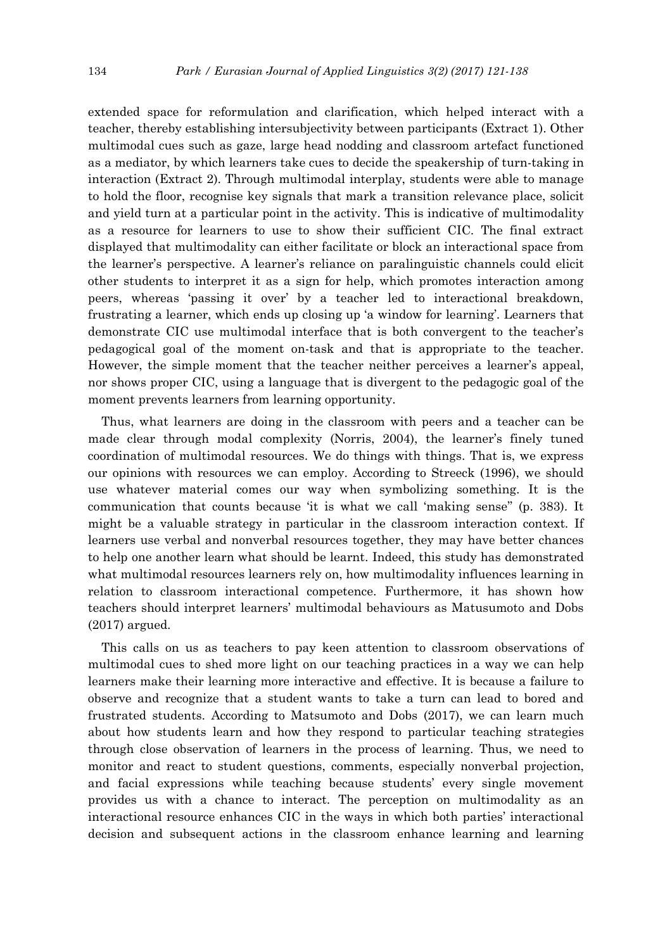extended space for reformulation and clarification, which helped interact with a teacher, thereby establishing intersubjectivity between participants (Extract 1). Other multimodal cues such as gaze, large head nodding and classroom artefact functioned as a mediator, by which learners take cues to decide the speakership of turn-taking in interaction (Extract 2). Through multimodal interplay, students were able to manage to hold the floor, recognise key signals that mark a transition relevance place, solicit and yield turn at a particular point in the activity. This is indicative of multimodality as a resource for learners to use to show their sufficient CIC. The final extract displayed that multimodality can either facilitate or block an interactional space from the learner's perspective. A learner's reliance on paralinguistic channels could elicit other students to interpret it as a sign for help, which promotes interaction among peers, whereas 'passing it over' by a teacher led to interactional breakdown, frustrating a learner, which ends up closing up 'a window for learning'. Learners that demonstrate CIC use multimodal interface that is both convergent to the teacher's pedagogical goal of the moment on-task and that is appropriate to the teacher. However, the simple moment that the teacher neither perceives a learner's appeal, nor shows proper CIC, using a language that is divergent to the pedagogic goal of the moment prevents learners from learning opportunity.

Thus, what learners are doing in the classroom with peers and a teacher can be made clear through modal complexity (Norris, 2004), the learner's finely tuned coordination of multimodal resources. We do things with things. That is, we express our opinions with resources we can employ. According to Streeck (1996), we should use whatever material comes our way when symbolizing something. It is the communication that counts because 'it is what we call 'making sense'' (p. 383). It might be a valuable strategy in particular in the classroom interaction context. If learners use verbal and nonverbal resources together, they may have better chances to help one another learn what should be learnt. Indeed, this study has demonstrated what multimodal resources learners rely on, how multimodality influences learning in relation to classroom interactional competence. Furthermore, it has shown how teachers should interpret learners' multimodal behaviours as Matusumoto and Dobs (2017) argued.

This calls on us as teachers to pay keen attention to classroom observations of multimodal cues to shed more light on our teaching practices in a way we can help learners make their learning more interactive and effective. It is because a failure to observe and recognize that a student wants to take a turn can lead to bored and frustrated students. According to Matsumoto and Dobs (2017), we can learn much about how students learn and how they respond to particular teaching strategies through close observation of learners in the process of learning. Thus, we need to monitor and react to student questions, comments, especially nonverbal projection, and facial expressions while teaching because students' every single movement provides us with a chance to interact. The perception on multimodality as an interactional resource enhances CIC in the ways in which both parties' interactional decision and subsequent actions in the classroom enhance learning and learning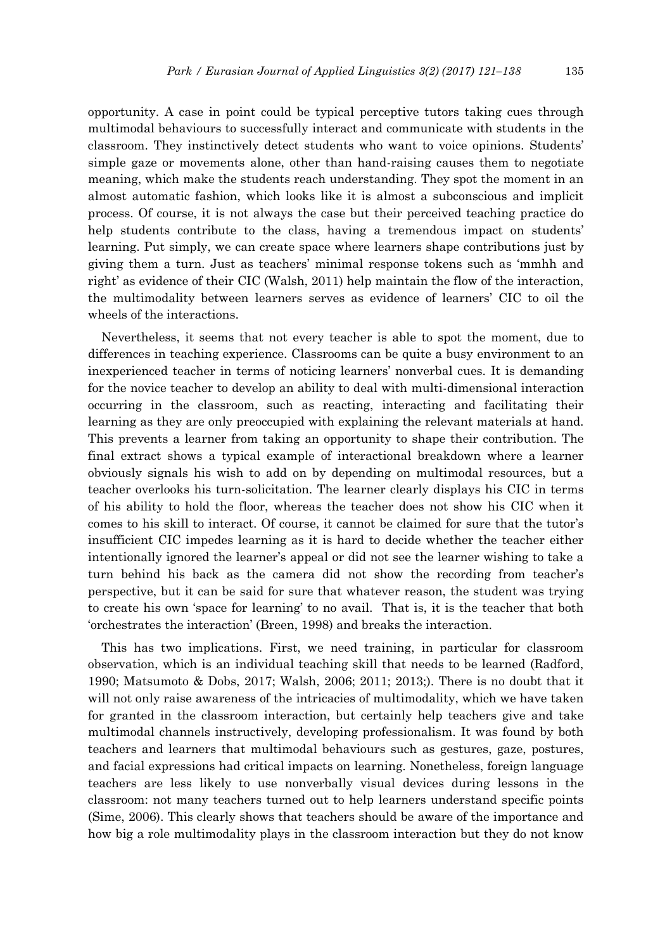opportunity. A case in point could be typical perceptive tutors taking cues through multimodal behaviours to successfully interact and communicate with students in the classroom. They instinctively detect students who want to voice opinions. Students' simple gaze or movements alone, other than hand-raising causes them to negotiate meaning, which make the students reach understanding. They spot the moment in an almost automatic fashion, which looks like it is almost a subconscious and implicit process. Of course, it is not always the case but their perceived teaching practice do help students contribute to the class, having a tremendous impact on students' learning. Put simply, we can create space where learners shape contributions just by giving them a turn. Just as teachers' minimal response tokens such as 'mmhh and right' as evidence of their CIC (Walsh, 2011) help maintain the flow of the interaction, the multimodality between learners serves as evidence of learners' CIC to oil the wheels of the interactions.

Nevertheless, it seems that not every teacher is able to spot the moment, due to differences in teaching experience. Classrooms can be quite a busy environment to an inexperienced teacher in terms of noticing learners' nonverbal cues. It is demanding for the novice teacher to develop an ability to deal with multi-dimensional interaction occurring in the classroom, such as reacting, interacting and facilitating their learning as they are only preoccupied with explaining the relevant materials at hand. This prevents a learner from taking an opportunity to shape their contribution. The final extract shows a typical example of interactional breakdown where a learner obviously signals his wish to add on by depending on multimodal resources, but a teacher overlooks his turn-solicitation. The learner clearly displays his CIC in terms of his ability to hold the floor, whereas the teacher does not show his CIC when it comes to his skill to interact. Of course, it cannot be claimed for sure that the tutor's insufficient CIC impedes learning as it is hard to decide whether the teacher either intentionally ignored the learner's appeal or did not see the learner wishing to take a turn behind his back as the camera did not show the recording from teacher's perspective, but it can be said for sure that whatever reason, the student was trying to create his own 'space for learning' to no avail. That is, it is the teacher that both 'orchestrates the interaction' (Breen, 1998) and breaks the interaction.

This has two implications. First, we need training, in particular for classroom observation, which is an individual teaching skill that needs to be learned (Radford, 1990; Matsumoto & Dobs, 2017; Walsh, 2006; 2011; 2013;). There is no doubt that it will not only raise awareness of the intricacies of multimodality, which we have taken for granted in the classroom interaction, but certainly help teachers give and take multimodal channels instructively, developing professionalism. It was found by both teachers and learners that multimodal behaviours such as gestures, gaze, postures, and facial expressions had critical impacts on learning. Nonetheless, foreign language teachers are less likely to use nonverbally visual devices during lessons in the classroom: not many teachers turned out to help learners understand specific points (Sime, 2006). This clearly shows that teachers should be aware of the importance and how big a role multimodality plays in the classroom interaction but they do not know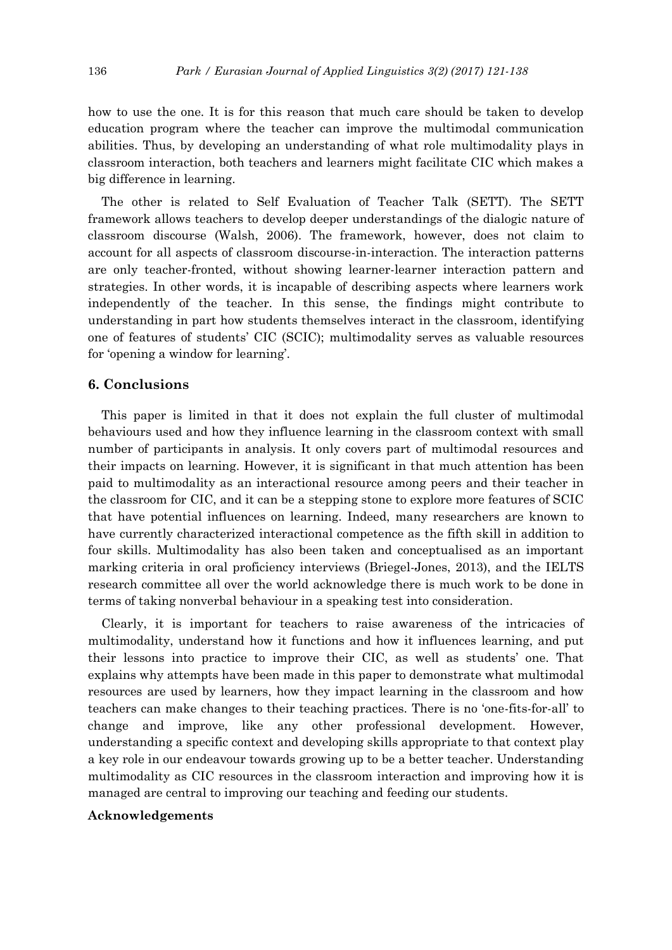how to use the one. It is for this reason that much care should be taken to develop education program where the teacher can improve the multimodal communication abilities. Thus, by developing an understanding of what role multimodality plays in classroom interaction, both teachers and learners might facilitate CIC which makes a big difference in learning.

The other is related to Self Evaluation of Teacher Talk (SETT). The SETT framework allows teachers to develop deeper understandings of the dialogic nature of classroom discourse (Walsh, 2006). The framework, however, does not claim to account for all aspects of classroom discourse-in-interaction. The interaction patterns are only teacher-fronted, without showing learner-learner interaction pattern and strategies. In other words, it is incapable of describing aspects where learners work independently of the teacher. In this sense, the findings might contribute to understanding in part how students themselves interact in the classroom, identifying one of features of students' CIC (SCIC); multimodality serves as valuable resources for 'opening a window for learning'.

# **6. Conclusions**

This paper is limited in that it does not explain the full cluster of multimodal behaviours used and how they influence learning in the classroom context with small number of participants in analysis. It only covers part of multimodal resources and their impacts on learning. However, it is significant in that much attention has been paid to multimodality as an interactional resource among peers and their teacher in the classroom for CIC, and it can be a stepping stone to explore more features of SCIC that have potential influences on learning. Indeed, many researchers are known to have currently characterized interactional competence as the fifth skill in addition to four skills. Multimodality has also been taken and conceptualised as an important marking criteria in oral proficiency interviews (Briegel-Jones, 2013), and the IELTS research committee all over the world acknowledge there is much work to be done in terms of taking nonverbal behaviour in a speaking test into consideration.

Clearly, it is important for teachers to raise awareness of the intricacies of multimodality, understand how it functions and how it influences learning, and put their lessons into practice to improve their CIC, as well as students' one. That explains why attempts have been made in this paper to demonstrate what multimodal resources are used by learners, how they impact learning in the classroom and how teachers can make changes to their teaching practices. There is no 'one-fits-for-all' to change and improve, like any other professional development. However, understanding a specific context and developing skills appropriate to that context play a key role in our endeavour towards growing up to be a better teacher. Understanding multimodality as CIC resources in the classroom interaction and improving how it is managed are central to improving our teaching and feeding our students.

### **Acknowledgements**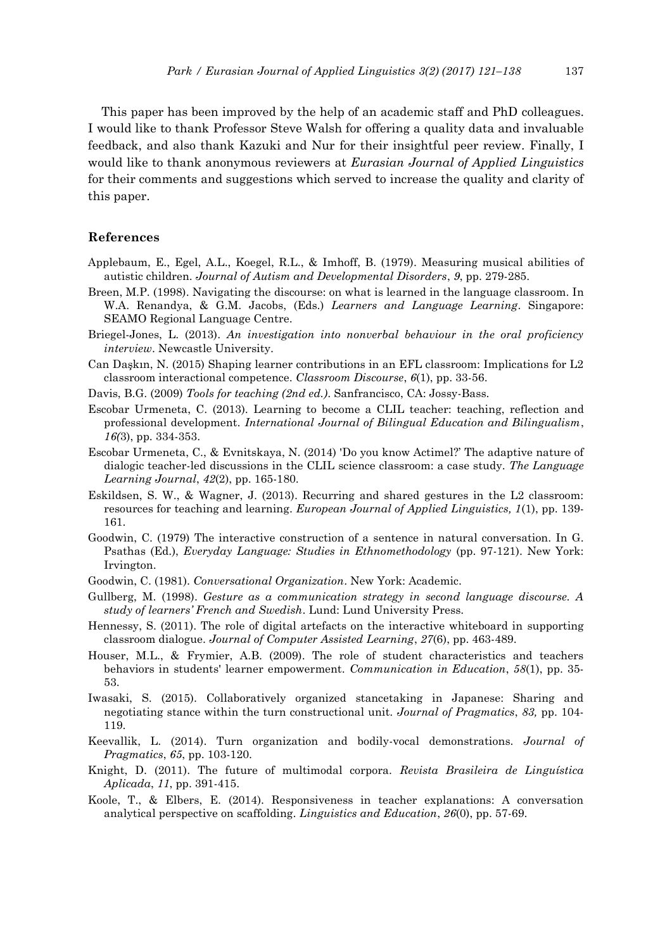This paper has been improved by the help of an academic staff and PhD colleagues. I would like to thank Professor Steve Walsh for offering a quality data and invaluable feedback, and also thank Kazuki and Nur for their insightful peer review. Finally, I would like to thank anonymous reviewers at *Eurasian Journal of Applied Linguistics* for their comments and suggestions which served to increase the quality and clarity of this paper.

#### **References**

- Applebaum, E., Egel, A.L., Koegel, R.L., & Imhoff, B. (1979). Measuring musical abilities of autistic children. *Journal of Autism and Developmental Disorders*, *9*, pp. 279-285.
- Breen, M.P. (1998). Navigating the discourse: on what is learned in the language classroom. In W.A. Renandya, & G.M. Jacobs, (Eds.) *Learners and Language Learning*. Singapore: SEAMO Regional Language Centre.
- Briegel-Jones, L. (2013). *An investigation into nonverbal behaviour in the oral proficiency interview*. Newcastle University.
- Can Daşkın, N. (2015) Shaping learner contributions in an EFL classroom: Implications for L2 classroom interactional competence. *Classroom Discourse*, *6*(1), pp. 33-56.
- Davis, B.G. (2009) *Tools for teaching (2nd ed.)*. Sanfrancisco, CA: Jossy-Bass.
- Escobar Urmeneta, C. (2013). Learning to become a CLIL teacher: teaching, reflection and professional development. *International Journal of Bilingual Education and Bilingualism*, *16(*3), pp. 334-353.
- Escobar Urmeneta, C., & Evnitskaya, N. (2014) 'Do you know Actimel?' The adaptive nature of dialogic teacher-led discussions in the CLIL science classroom: a case study. *The Language Learning Journal*, *42*(2), pp. 165-180.
- Eskildsen, S. W., & Wagner, J. (2013). Recurring and shared gestures in the L2 classroom: resources for teaching and learning. *European Journal of Applied Linguistics, 1*(1), pp. 139- 161.
- Goodwin, C. (1979) The interactive construction of a sentence in natural conversation. In G. Psathas (Ed.), *Everyday Language: Studies in Ethnomethodology* (pp. 97-121). New York: Irvington.
- Goodwin, C. (1981). *Conversational Organization*. New York: Academic.
- Gullberg, M. (1998). *Gesture as a communication strategy in second language discourse. A study of learners' French and Swedish*. Lund: Lund University Press.
- Hennessy, S. (2011). The role of digital artefacts on the interactive whiteboard in supporting classroom dialogue. *Journal of Computer Assisted Learning*, *27*(6), pp. 463-489.
- Houser, M.L., & Frymier, A.B. (2009). The role of student characteristics and teachers behaviors in students' learner empowerment. *Communication in Education*, *58*(1), pp. 35- 53.
- Iwasaki, S. (2015). Collaboratively organized stancetaking in Japanese: Sharing and negotiating stance within the turn constructional unit. *Journal of Pragmatics*, *83,* pp. 104- 119.
- Keevallik, L. (2014). Turn organization and bodily-vocal demonstrations. *Journal of Pragmatics*, *65*, pp. 103-120.
- Knight, D. (2011). The future of multimodal corpora. *Revista Brasileira de Linguística Aplicada*, *11*, pp. 391-415.
- Koole, T., & Elbers, E. (2014). Responsiveness in teacher explanations: A conversation analytical perspective on scaffolding. *Linguistics and Education*, *26*(0), pp. 57-69.